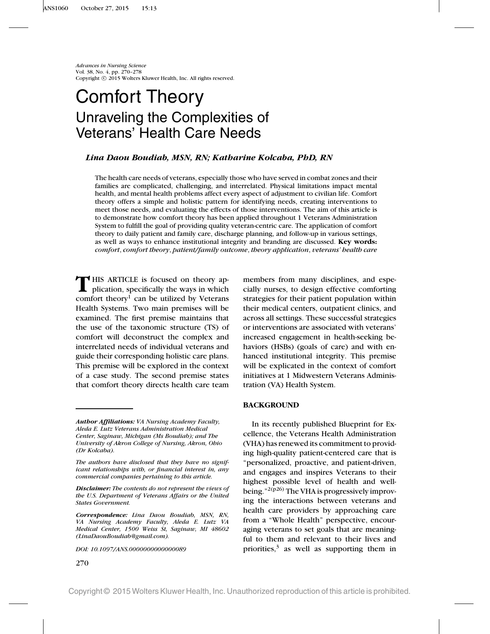# Comfort Theory Unraveling the Complexities of Veterans' Health Care Needs

## *Lina Daou Boudiab, MSN, RN; Katharine Kolcaba, PhD, RN*

The health care needs of veterans, especially those who have served in combat zones and their families are complicated, challenging, and interrelated. Physical limitations impact mental health, and mental health problems affect every aspect of adjustment to civilian life. Comfort theory offers a simple and holistic pattern for identifying needs, creating interventions to meet those needs, and evaluating the effects of those interventions. The aim of this article is to demonstrate how comfort theory has been applied throughout 1 Veterans Administration System to fulfill the goal of providing quality veteran-centric care. The application of comfort theory to daily patient and family care, discharge planning, and follow-up in various settings, as well as ways to enhance institutional integrity and branding are discussed. **Key words:** *comfort*, *comfort theory*, *patient/family outcome*, *theory application*, *veterans' health care*

**T** HIS ARTICLE is focused on theory application, specifically the ways in which comfort theory<sup>1</sup> can be utilized by Veterans Health Systems. Two main premises will be examined. The first premise maintains that the use of the taxonomic structure (TS) of comfort will deconstruct the complex and interrelated needs of individual veterans and guide their corresponding holistic care plans. This premise will be explored in the context of a case study. The second premise states that comfort theory directs health care team

*DOI: 10.1097/ANS.0000000000000089*

270

members from many disciplines, and especially nurses, to design effective comforting strategies for their patient population within their medical centers, outpatient clinics, and across all settings. These successful strategies or interventions are associated with veterans' increased engagement in health-seeking behaviors (HSBs) (goals of care) and with enhanced institutional integrity. This premise will be explicated in the context of comfort initiatives at 1 Midwestern Veterans Administration (VA) Health System.

#### **BACKGROUND**

In its recently published Blueprint for Excellence, the Veterans Health Administration (VHA) has renewed its commitment to providing high-quality patient-centered care that is "personalized, proactive, and patient-driven, and engages and inspires Veterans to their highest possible level of health and wellbeing."<sup>2(p26)</sup> The VHA is progressively improving the interactions between veterans and health care providers by approaching care from a "Whole Health" perspective, encouraging veterans to set goals that are meaningful to them and relevant to their lives and priorities, $3$  as well as supporting them in

*Author Affiliations: VA Nursing Academy Faculty, Aleda E. Lutz Veterans Administration Medical Center, Saginaw, Michigan (Ms Boudiab); and The University of Akron College of Nursing, Akron, Ohio (Dr Kolcaba).*

*The authors have disclosed that they have no significant relationships with, or financial interest in, any commercial companies pertaining to this article.*

*Disclaimer: The contents do not represent the views of the U.S. Department of Veterans Affairs or the United States Government.*

*Correspondence: Lina Daou Boudiab, MSN, RN, VA Nursing Academy Faculty, Aleda E. Lutz VA Medical Center, 1500 Weiss St, Saginaw, MI 48602 [\(LinaDaouBoudiab@gmail.com\)](mailto:LinaDaouBoudiab@gmail.com).*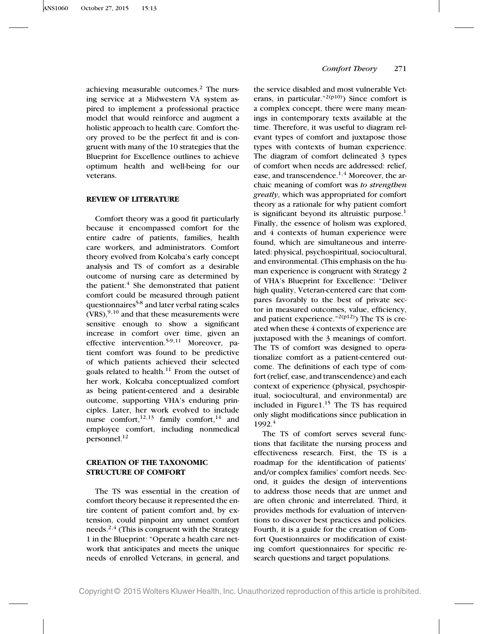achieving measurable outcomes. $<sup>2</sup>$  The nurs-</sup> ing service at a Midwestern VA system aspired to implement a professional practice model that would reinforce and augment a holistic approach to health care. Comfort theory proved to be the perfect fit and is congruent with many of the 10 strategies that the Blueprint for Excellence outlines to achieve optimum health and well-being for our veterans.

#### **REVIEW OF LITERATURE**

Comfort theory was a good fit particularly because it encompassed comfort for the entire cadre of patients, families, health care workers, and administrators. Comfort theory evolved from Kolcaba's early concept analysis and TS of comfort as a desirable outcome of nursing care as determined by the patient. $4$  She demonstrated that patient comfort could be measured through patient questionnaires<sup>5-8</sup> and later verbal rating scales  $(VRS)$ ,  $^{9,10}$  and that these measurements were sensitive enough to show a significant increase in comfort over time, given an effective intervention.5-9,11 Moreover, patient comfort was found to be predictive of which patients achieved their selected goals related to health.<sup>11</sup> From the outset of her work, Kolcaba conceptualized comfort as being patient-centered and a desirable outcome, supporting VHA's enduring principles. Later, her work evolved to include nurse comfort,  $12,13$  family comfort,  $14$  and employee comfort, including nonmedical personnel.<sup>12</sup>

# **CREATION OF THE TAXONOMIC STRUCTURE OF COMFORT**

The TS was essential in the creation of comfort theory because it represented the entire content of patient comfort and, by extension, could pinpoint any unmet comfort needs. $2,4$  (This is congruent with the Strategy 1 in the Blueprint: "Operate a health care network that anticipates and meets the unique needs of enrolled Veterans, in general, and

the service disabled and most vulnerable Veterans, in particular."<sup>2(p10)</sup>) Since comfort is a complex concept, there were many meanings in contemporary texts available at the time. Therefore, it was useful to diagram relevant types of comfort and juxtapose those types with contexts of human experience. The diagram of comfort delineated 3 types of comfort when needs are addressed: relief, ease, and transcendence. $1,4$  Moreover, the archaic meaning of comfort was *to strengthen greatly*, which was appropriated for comfort theory as a rationale for why patient comfort is significant beyond its altruistic purpose. $1$ Finally, the essence of holism was explored, and 4 contexts of human experience were found, which are simultaneous and interrelated: physical, psychospiritual, sociocultural, and environmental. (This emphasis on the human experience is congruent with Strategy 2 of VHA's Blueprint for Excellence: "Deliver high quality, Veteran-centered care that compares favorably to the best of private sector in measured outcomes, value, efficiency, and patient experience."<sup>2(p12)</sup>) The TS is created when these 4 contexts of experience are juxtaposed with the 3 meanings of comfort. The TS of comfort was designed to operationalize comfort as a patient-centered outcome. The definitions of each type of comfort (relief, ease, and transcendence) and each context of experience (physical, psychospiritual, sociocultural, and environmental) are included in Figure1. $15$  The TS has required only slight modifications since publication in  $1992.<sup>4</sup>$ 

The TS of comfort serves several functions that facilitate the nursing process and effectiveness research. First, the TS is a roadmap for the identification of patients' and/or complex families' comfort needs. Second, it guides the design of interventions to address those needs that are unmet and are often chronic and interrelated. Third, it provides methods for evaluation of interventions to discover best practices and policies. Fourth, it is a guide for the creation of Comfort Questionnaires or modification of existing comfort questionnaires for specific research questions and target populations.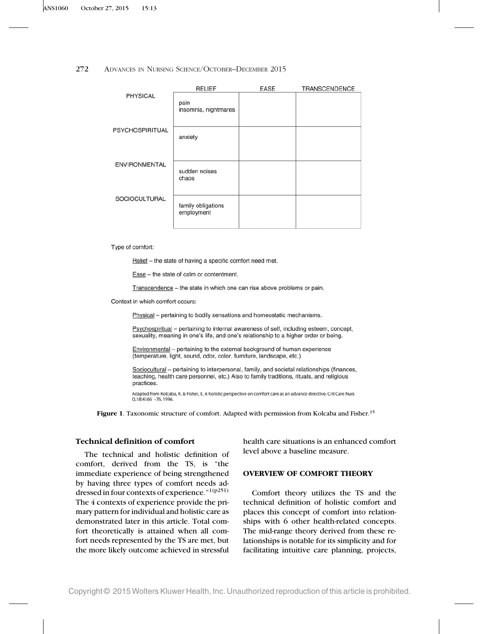|                      | <b>RELIEF</b>                    | EASE | TRANSCENDENCE |
|----------------------|----------------------------------|------|---------------|
| <b>PHYSICAL</b>      | pain<br>insomnia, nightmares     |      |               |
| PSYCHOSPIRITUAL      | anxiety                          |      |               |
| <b>ENVIRONMENTAL</b> | sudden noises<br>chaos           |      |               |
| SOCIOCULTURAL        | family obligations<br>employment |      |               |

Type of comfort:

Relief - the state of having a specific comfort need met.

Ease - the state of calm or contentment.

Transcendence - the state in which one can rise above problems or pain.

Context in which comfort occurs:

Physical - pertaining to bodily sensations and homeostatic mechanisms.

Psychospiritual - pertaining to internal awareness of self, including esteem, concept, sexuality, meaning in one's life, and one's relationship to a higher order or being.

Environmental - pertaining to the external background of human experience (temperature, light, sound, odor, color, furniture, landscape, etc.)

Sociocultural – pertaining to interpersonal, family, and societal relationships (finances, teaching, health care personnel, etc.) Also to family traditions, rituals, and religious practices.

Adapted from Kolcaba, K. & Fisher, E. A holistic perspective on comfort care as an advance directive. Crit Care Nurs 0.18(4):66 -76, 1996.

Figure 1. Taxonomic structure of comfort. Adapted with permission from Kolcaba and Fisher.<sup>15</sup>

#### **Technical definition of comfort**

The technical and holistic definition of comfort, derived from the TS, is "the immediate experience of being strengthened by having three types of comfort needs addressed in four contexts of experience."<sup>1(p251)</sup> The 4 contexts of experience provide the primary pattern for individual and holistic care as demonstrated later in this article. Total comfort theoretically is attained when all comfort needs represented by the TS are met, but the more likely outcome achieved in stressful health care situations is an enhanced comfort level above a baseline measure.

#### **OVERVIEW OF COMFORT THEORY**

Comfort theory utilizes the TS and the technical definition of holistic comfort and places this concept of comfort into relationships with 6 other health-related concepts. The mid-range theory derived from these relationships is notable for its simplicity and for facilitating intuitive care planning, projects,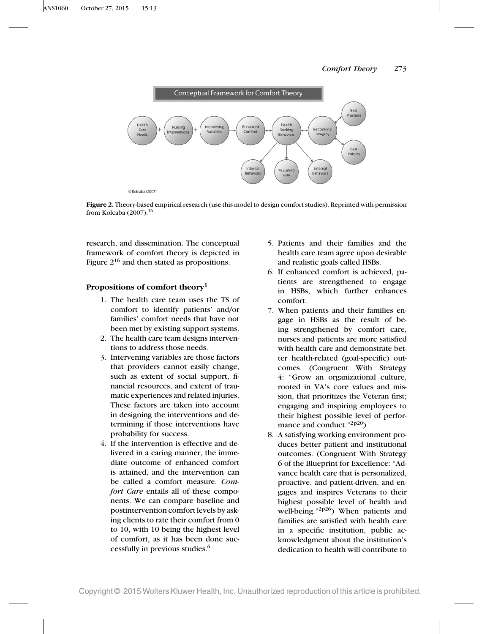

**Figure 2**. Theory-based empirical research (use this model to design comfort studies). Reprinted with permission from Kolcaba (2007).16

research, and dissemination. The conceptual framework of comfort theory is depicted in Figure  $2^{16}$  and then stated as propositions.

# **Propositions of comfort theory1**

- 1. The health care team uses the TS of comfort to identify patients' and/or families' comfort needs that have not been met by existing support systems.
- 2. The health care team designs interventions to address those needs.
- 3. Intervening variables are those factors that providers cannot easily change, such as extent of social support, financial resources, and extent of traumatic experiences and related injuries. These factors are taken into account in designing the interventions and determining if those interventions have probability for success.
- 4. If the intervention is effective and delivered in a caring manner, the immediate outcome of enhanced comfort is attained, and the intervention can be called a comfort measure. *Comfort Care* entails all of these components. We can compare baseline and postintervention comfort levels by asking clients to rate their comfort from 0 to 10, with 10 being the highest level of comfort, as it has been done successfully in previous studies.6
- 5. Patients and their families and the health care team agree upon desirable and realistic goals called HSBs.
- 6. If enhanced comfort is achieved, patients are strengthened to engage in HSBs, which further enhances comfort.
- 7. When patients and their families engage in HSBs as the result of being strengthened by comfort care, nurses and patients are more satisfied with health care and demonstrate better health-related (goal-specific) outcomes. (Congruent With Strategy 4: "Grow an organizational culture, rooted in VA's core values and mission, that prioritizes the Veteran first; engaging and inspiring employees to their highest possible level of performance and conduct." $^{2p20}$ )
- 8. A satisfying working environment produces better patient and institutional outcomes. (Congruent With Strategy 6 of the Blueprint for Excellence: "Advance health care that is personalized, proactive, and patient-driven, and engages and inspires Veterans to their highest possible level of health and well-being." $^{2p26}$ ) When patients and families are satisfied with health care in a specific institution, public acknowledgment about the institution's dedication to health will contribute to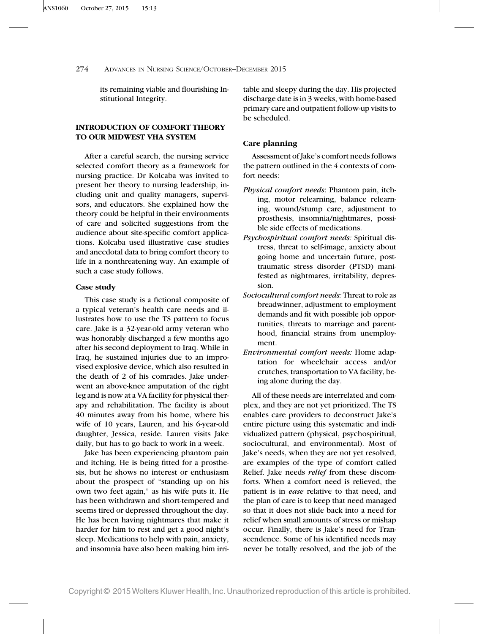its remaining viable and flourishing Institutional Integrity.

# **INTRODUCTION OF COMFORT THEORY TO OUR MIDWEST VHA SYSTEM**

After a careful search, the nursing service selected comfort theory as a framework for nursing practice. Dr Kolcaba was invited to present her theory to nursing leadership, including unit and quality managers, supervisors, and educators. She explained how the theory could be helpful in their environments of care and solicited suggestions from the audience about site-specific comfort applications. Kolcaba used illustrative case studies and anecdotal data to bring comfort theory to life in a nonthreatening way. An example of such a case study follows.

## **Case study**

This case study is a fictional composite of a typical veteran's health care needs and illustrates how to use the TS pattern to focus care. Jake is a 32-year-old army veteran who was honorably discharged a few months ago after his second deployment to Iraq. While in Iraq, he sustained injuries due to an improvised explosive device, which also resulted in the death of 2 of his comrades. Jake underwent an above-knee amputation of the right leg and is now at a VA facility for physical therapy and rehabilitation. The facility is about 40 minutes away from his home, where his wife of 10 years, Lauren, and his 6-year-old daughter, Jessica, reside. Lauren visits Jake daily, but has to go back to work in a week.

Jake has been experiencing phantom pain and itching. He is being fitted for a prosthesis, but he shows no interest or enthusiasm about the prospect of "standing up on his own two feet again," as his wife puts it. He has been withdrawn and short-tempered and seems tired or depressed throughout the day. He has been having nightmares that make it harder for him to rest and get a good night's sleep. Medications to help with pain, anxiety, and insomnia have also been making him irritable and sleepy during the day. His projected discharge date is in 3 weeks, with home-based primary care and outpatient follow-up visits to be scheduled.

## **Care planning**

Assessment of Jake's comfort needs follows the pattern outlined in the 4 contexts of comfort needs:

- *Physical comfort needs*: Phantom pain, itching, motor relearning, balance relearning, wound/stump care, adjustment to prosthesis, insomnia/nightmares, possible side effects of medications.
- *Psychospiritual comfort needs:* Spiritual distress, threat to self-image, anxiety about going home and uncertain future, posttraumatic stress disorder (PTSD) manifested as nightmares, irritability, depression.
- *Sociocultural comfort needs:* Threat to role as breadwinner, adjustment to employment demands and fit with possible job opportunities, threats to marriage and parenthood, financial strains from unemployment.
- *Environmental comfort needs:* Home adaptation for wheelchair access and/or crutches, transportation to VA facility, being alone during the day.

All of these needs are interrelated and complex, and they are not yet prioritized. The TS enables care providers to deconstruct Jake's entire picture using this systematic and individualized pattern (physical, psychospiritual, sociocultural, and environmental). Most of Jake's needs, when they are not yet resolved, are examples of the type of comfort called Relief. Jake needs *relief* from these discomforts. When a comfort need is relieved, the patient is in *ease* relative to that need, and the plan of care is to keep that need managed so that it does not slide back into a need for relief when small amounts of stress or mishap occur. Finally, there is Jake's need for Transcendence. Some of his identified needs may never be totally resolved, and the job of the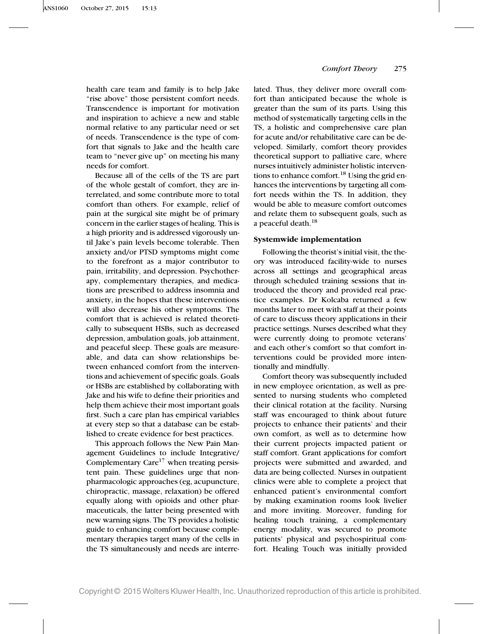health care team and family is to help Jake "rise above" those persistent comfort needs. Transcendence is important for motivation and inspiration to achieve a new and stable normal relative to any particular need or set of needs. Transcendence is the type of comfort that signals to Jake and the health care team to "never give up" on meeting his many needs for comfort.

Because all of the cells of the TS are part of the whole gestalt of comfort, they are interrelated, and some contribute more to total comfort than others. For example, relief of pain at the surgical site might be of primary concern in the earlier stages of healing. This is a high priority and is addressed vigorously until Jake's pain levels become tolerable. Then anxiety and/or PTSD symptoms might come to the forefront as a major contributor to pain, irritability, and depression. Psychotherapy, complementary therapies, and medications are prescribed to address insomnia and anxiety, in the hopes that these interventions will also decrease his other symptoms. The comfort that is achieved is related theoretically to subsequent HSBs, such as decreased depression, ambulation goals, job attainment, and peaceful sleep. These goals are measureable, and data can show relationships between enhanced comfort from the interventions and achievement of specific goals. Goals or HSBs are established by collaborating with Jake and his wife to define their priorities and help them achieve their most important goals first. Such a care plan has empirical variables at every step so that a database can be established to create evidence for best practices.

This approach follows the New Pain Management Guidelines to include Integrative/ Complementary Care $17$  when treating persistent pain. These guidelines urge that nonpharmacologic approaches (eg, acupuncture, chiropractic, massage, relaxation) be offered equally along with opioids and other pharmaceuticals, the latter being presented with new warning signs. The TS provides a holistic guide to enhancing comfort because complementary therapies target many of the cells in the TS simultaneously and needs are interrelated. Thus, they deliver more overall comfort than anticipated because the whole is greater than the sum of its parts. Using this method of systematically targeting cells in the TS, a holistic and comprehensive care plan for acute and/or rehabilitative care can be developed. Similarly, comfort theory provides theoretical support to palliative care, where nurses intuitively administer holistic interventions to enhance comfort.<sup>18</sup> Using the grid enhances the interventions by targeting all comfort needs within the TS. In addition, they would be able to measure comfort outcomes and relate them to subsequent goals, such as a peaceful death.<sup>18</sup>

## **Systemwide implementation**

Following the theorist's initial visit, the theory was introduced facility-wide to nurses across all settings and geographical areas through scheduled training sessions that introduced the theory and provided real practice examples. Dr Kolcaba returned a few months later to meet with staff at their points of care to discuss theory applications in their practice settings. Nurses described what they were currently doing to promote veterans' and each other's comfort so that comfort interventions could be provided more intentionally and mindfully.

Comfort theory was subsequently included in new employee orientation, as well as presented to nursing students who completed their clinical rotation at the facility. Nursing staff was encouraged to think about future projects to enhance their patients' and their own comfort, as well as to determine how their current projects impacted patient or staff comfort. Grant applications for comfort projects were submitted and awarded, and data are being collected. Nurses in outpatient clinics were able to complete a project that enhanced patient's environmental comfort by making examination rooms look livelier and more inviting. Moreover, funding for healing touch training, a complementary energy modality, was secured to promote patients' physical and psychospiritual comfort. Healing Touch was initially provided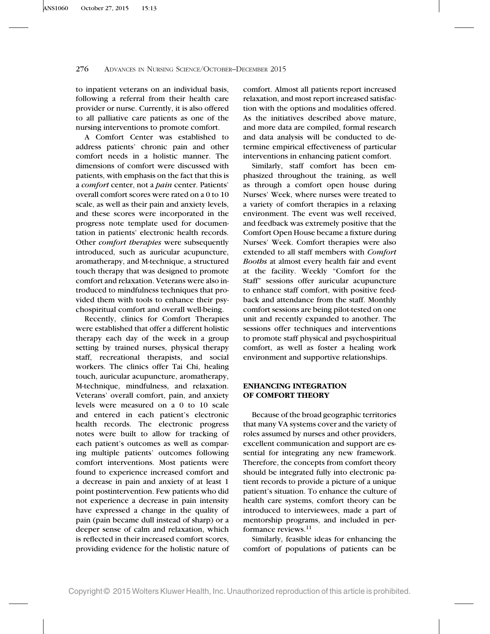to inpatient veterans on an individual basis, following a referral from their health care provider or nurse. Currently, it is also offered to all palliative care patients as one of the nursing interventions to promote comfort.

A Comfort Center was established to address patients' chronic pain and other comfort needs in a holistic manner. The dimensions of comfort were discussed with patients, with emphasis on the fact that this is a *comfort* center, not a *pain* center. Patients' overall comfort scores were rated on a 0 to 10 scale, as well as their pain and anxiety levels, and these scores were incorporated in the progress note template used for documentation in patients' electronic health records. Other *comfort therapies* were subsequently introduced, such as auricular acupuncture, aromatherapy, and M-technique, a structured touch therapy that was designed to promote comfort and relaxation. Veterans were also introduced to mindfulness techniques that provided them with tools to enhance their psychospiritual comfort and overall well-being.

Recently, clinics for Comfort Therapies were established that offer a different holistic therapy each day of the week in a group setting by trained nurses, physical therapy staff, recreational therapists, and social workers. The clinics offer Tai Chi, healing touch, auricular acupuncture, aromatherapy, M-technique, mindfulness, and relaxation. Veterans' overall comfort, pain, and anxiety levels were measured on a 0 to 10 scale and entered in each patient's electronic health records. The electronic progress notes were built to allow for tracking of each patient's outcomes as well as comparing multiple patients' outcomes following comfort interventions. Most patients were found to experience increased comfort and a decrease in pain and anxiety of at least 1 point postintervention. Few patients who did not experience a decrease in pain intensity have expressed a change in the quality of pain (pain became dull instead of sharp) or a deeper sense of calm and relaxation, which is reflected in their increased comfort scores, providing evidence for the holistic nature of comfort. Almost all patients report increased relaxation, and most report increased satisfaction with the options and modalities offered. As the initiatives described above mature, and more data are compiled, formal research and data analysis will be conducted to determine empirical effectiveness of particular interventions in enhancing patient comfort.

Similarly, staff comfort has been emphasized throughout the training, as well as through a comfort open house during Nurses' Week, where nurses were treated to a variety of comfort therapies in a relaxing environment. The event was well received, and feedback was extremely positive that the Comfort Open House became a fixture during Nurses' Week. Comfort therapies were also extended to all staff members with *Comfort Booths* at almost every health fair and event at the facility. Weekly "Comfort for the Staff" sessions offer auricular acupuncture to enhance staff comfort, with positive feedback and attendance from the staff. Monthly comfort sessions are being pilot-tested on one unit and recently expanded to another. The sessions offer techniques and interventions to promote staff physical and psychospiritual comfort, as well as foster a healing work environment and supportive relationships.

# **ENHANCING INTEGRATION OF COMFORT THEORY**

Because of the broad geographic territories that many VA systems cover and the variety of roles assumed by nurses and other providers, excellent communication and support are essential for integrating any new framework. Therefore, the concepts from comfort theory should be integrated fully into electronic patient records to provide a picture of a unique patient's situation. To enhance the culture of health care systems, comfort theory can be introduced to interviewees, made a part of mentorship programs, and included in performance reviews.11

Similarly, feasible ideas for enhancing the comfort of populations of patients can be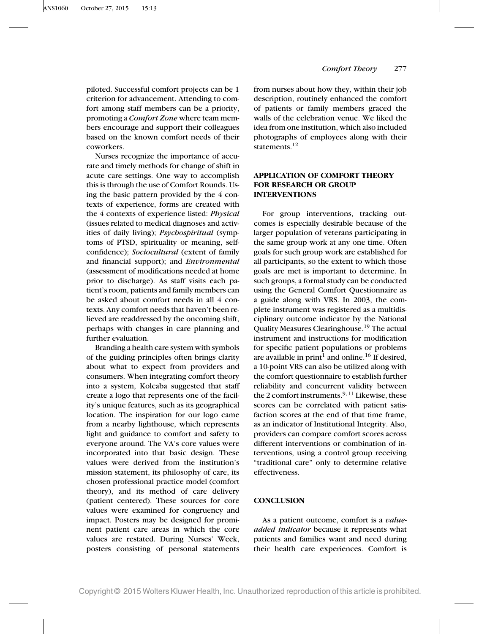piloted. Successful comfort projects can be 1 criterion for advancement. Attending to comfort among staff members can be a priority, promoting a *Comfort Zone* where team members encourage and support their colleagues based on the known comfort needs of their coworkers.

Nurses recognize the importance of accurate and timely methods for change of shift in acute care settings. One way to accomplish this is through the use of Comfort Rounds. Using the basic pattern provided by the 4 contexts of experience, forms are created with the 4 contexts of experience listed: *Physical* (issues related to medical diagnoses and activities of daily living); *Psychospiritual* (symptoms of PTSD, spirituality or meaning, selfconfidence); *Sociocultural* (extent of family and financial support); and *Environmental* (assessment of modifications needed at home prior to discharge). As staff visits each patient's room, patients and family members can be asked about comfort needs in all 4 contexts. Any comfort needs that haven't been relieved are readdressed by the oncoming shift, perhaps with changes in care planning and further evaluation.

Branding a health care system with symbols of the guiding principles often brings clarity about what to expect from providers and consumers. When integrating comfort theory into a system, Kolcaba suggested that staff create a logo that represents one of the facility's unique features, such as its geographical location. The inspiration for our logo came from a nearby lighthouse, which represents light and guidance to comfort and safety to everyone around. The VA's core values were incorporated into that basic design. These values were derived from the institution's mission statement, its philosophy of care, its chosen professional practice model (comfort theory), and its method of care delivery (patient centered). These sources for core values were examined for congruency and impact. Posters may be designed for prominent patient care areas in which the core values are restated. During Nurses' Week, posters consisting of personal statements

from nurses about how they, within their job description, routinely enhanced the comfort of patients or family members graced the walls of the celebration venue. We liked the idea from one institution, which also included photographs of employees along with their statements.<sup>12</sup>

# **APPLICATION OF COMFORT THEORY FOR RESEARCH OR GROUP INTERVENTIONS**

For group interventions, tracking outcomes is especially desirable because of the larger population of veterans participating in the same group work at any one time. Often goals for such group work are established for all participants, so the extent to which those goals are met is important to determine. In such groups, a formal study can be conducted using the General Comfort Questionnaire as a guide along with VRS. In 2003, the complete instrument was registered as a multidisciplinary outcome indicator by the National Quality Measures Clearinghouse.19 The actual instrument and instructions for modification for specific patient populations or problems are available in print<sup>1</sup> and online.<sup>16</sup> If desired, a 10-point VRS can also be utilized along with the comfort questionnaire to establish further reliability and concurrent validity between the 2 comfort instruments.<sup>9,11</sup> Likewise, these scores can be correlated with patient satisfaction scores at the end of that time frame, as an indicator of Institutional Integrity. Also, providers can compare comfort scores across different interventions or combination of interventions, using a control group receiving "traditional care" only to determine relative effectiveness.

## **CONCLUSION**

As a patient outcome, comfort is a *valueadded indicator* because it represents what patients and families want and need during their health care experiences. Comfort is